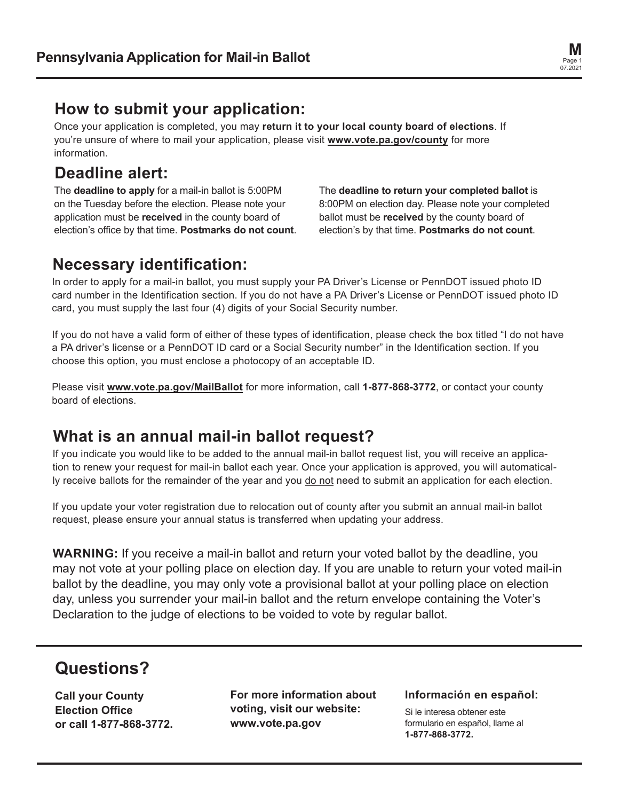

### **How to submit your application:**

Once your application is completed, you may **return it to your local county board of elections**. If you're unsure of where to mail your application, please visit **www.vote.pa.gov/county** for more information.

# **Deadline alert:**

The **deadline to apply** for a mail-in ballot is 5:00PM on the Tuesday before the election. Please note your application must be **received** in the county board of election's office by that time. **Postmarks do not count**. The **deadline to return your completed ballot** is 8:00PM on election day. Please note your completed ballot must be **received** by the county board of election's by that time. **Postmarks do not count**.

## **Necessary identification:**

In order to apply for a mail-in ballot, you must supply your PA Driver's License or PennDOT issued photo ID card number in the Identification section. If you do not have a PA Driver's License or PennDOT issued photo ID card, you must supply the last four (4) digits of your Social Security number.

If you do not have a valid form of either of these types of identification, please check the box titled "I do not have a PA driver's license or a PennDOT ID card or a Social Security number" in the Identification section. If you choose this option, you must enclose a photocopy of an acceptable ID.

Please visit **www.vote.pa.gov/MailBallot** for more information, call **1-877-868-3772**, or contact your county board of elections.

## **What is an annual mail-in ballot request?**

If you indicate you would like to be added to the annual mail-in ballot request list, you will receive an application to renew your request for mail-in ballot each year. Once your application is approved, you will automatically receive ballots for the remainder of the year and you do not need to submit an application for each election.

If you update your voter registration due to relocation out of county after you submit an annual mail-in ballot request, please ensure your annual status is transferred when updating your address.

**WARNING:** If you receive a mail-in ballot and return your voted ballot by the deadline, you may not vote at your polling place on election day. If you are unable to return your voted mail-in ballot by the deadline, you may only vote a provisional ballot at your polling place on election day, unless you surrender your mail-in ballot and the return envelope containing the Voter's Declaration to the judge of elections to be voided to vote by regular ballot.

# **Questions?**

**Call your County Election Office or call 1-877-868-3772.**

**For more information about voting, visit our website: www.vote.pa.gov**

#### **Información en español:**

Si le interesa obtener este formulario en español, llame al **1-877-868-3772.**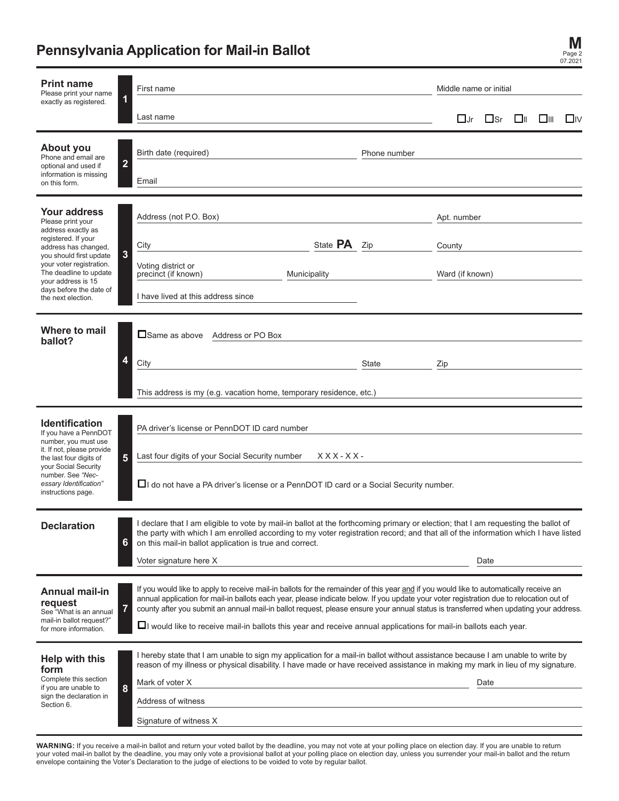### **Pennsylvania Application for Mail-in Ballot**

| <b>Print name</b><br>Please print your name                                                                                                                                                                                                                           | First name                                                                                                                                                                                                                                                                                                                                                                                                                      |              | Middle name or initial |                               |  |         |           |
|-----------------------------------------------------------------------------------------------------------------------------------------------------------------------------------------------------------------------------------------------------------------------|---------------------------------------------------------------------------------------------------------------------------------------------------------------------------------------------------------------------------------------------------------------------------------------------------------------------------------------------------------------------------------------------------------------------------------|--------------|------------------------|-------------------------------|--|---------|-----------|
| exactly as registered.                                                                                                                                                                                                                                                | 1<br>Last name                                                                                                                                                                                                                                                                                                                                                                                                                  |              |                        | $\Box$ Jr $\Box$ Sr $\Box$ II |  | — □ 111 | $\Box$ iv |
| About you<br>Phone and email are<br>optional and used if                                                                                                                                                                                                              | Birth date (required)<br>$\overline{2}$                                                                                                                                                                                                                                                                                                                                                                                         | Phone number |                        |                               |  |         |           |
| information is missing<br>on this form.                                                                                                                                                                                                                               | Email                                                                                                                                                                                                                                                                                                                                                                                                                           |              |                        |                               |  |         |           |
| <b>Your address</b><br>Please print your<br>address exactly as<br>registered. If your<br>address has changed,<br>you should first update<br>your voter registration.<br>The deadline to update<br>your address is 15<br>days before the date of<br>the next election. | Address (not P.O. Box)                                                                                                                                                                                                                                                                                                                                                                                                          |              | Apt. number            |                               |  |         |           |
|                                                                                                                                                                                                                                                                       | State <b>PA</b><br>City<br>3                                                                                                                                                                                                                                                                                                                                                                                                    | Zip          | County                 |                               |  |         |           |
|                                                                                                                                                                                                                                                                       | Voting district or<br>precinct (if known)<br>Municipality                                                                                                                                                                                                                                                                                                                                                                       |              | Ward (if known)        |                               |  |         |           |
|                                                                                                                                                                                                                                                                       | I have lived at this address since                                                                                                                                                                                                                                                                                                                                                                                              |              |                        |                               |  |         |           |
| Where to mail<br>ballot?                                                                                                                                                                                                                                              | <b>□</b> Same as above Address or PO Box                                                                                                                                                                                                                                                                                                                                                                                        |              |                        |                               |  |         |           |
|                                                                                                                                                                                                                                                                       | 4<br>City                                                                                                                                                                                                                                                                                                                                                                                                                       | State        | Zip                    |                               |  |         |           |
|                                                                                                                                                                                                                                                                       | This address is my (e.g. vacation home, temporary residence, etc.)                                                                                                                                                                                                                                                                                                                                                              |              |                        |                               |  |         |           |
| <b>Identification</b><br>If you have a PennDOT<br>number, you must use<br>it. If not, please provide<br>the last four digits of<br>your Social Security<br>number. See "Nec-<br>essary Identification"<br>instructions page.                                          | PA driver's license or PennDOT ID card number                                                                                                                                                                                                                                                                                                                                                                                   |              |                        |                               |  |         |           |
|                                                                                                                                                                                                                                                                       | Last four digits of your Social Security number<br>$XXX-XX-$<br>5                                                                                                                                                                                                                                                                                                                                                               |              |                        |                               |  |         |           |
|                                                                                                                                                                                                                                                                       | ∐I do not have a PA driver's license or a PennDOT ID card or a Social Security number.                                                                                                                                                                                                                                                                                                                                          |              |                        |                               |  |         |           |
| <b>Declaration</b>                                                                                                                                                                                                                                                    | I declare that I am eligible to vote by mail-in ballot at the forthcoming primary or election; that I am requesting the ballot of<br>the party with which I am enrolled according to my voter registration record; and that all of the information which I have listed<br>6<br>on this mail-in ballot application is true and correct.                                                                                          |              |                        |                               |  |         |           |
|                                                                                                                                                                                                                                                                       | Voter signature here X                                                                                                                                                                                                                                                                                                                                                                                                          |              |                        | Date                          |  |         |           |
| <b>Annual mail-in</b><br>request<br>See "What is an annual<br>mail-in ballot request?"<br>for more information.                                                                                                                                                       | If you would like to apply to receive mail-in ballots for the remainder of this year and if you would like to automatically receive an<br>annual application for mail-in ballots each year, please indicate below. If you update your voter registration due to relocation out of<br>7<br>county after you submit an annual mail-in ballot request, please ensure your annual status is transferred when updating your address. |              |                        |                               |  |         |           |
|                                                                                                                                                                                                                                                                       | $\Box$ would like to receive mail-in ballots this year and receive annual applications for mail-in ballots each year.                                                                                                                                                                                                                                                                                                           |              |                        |                               |  |         |           |
| <b>Help with this</b><br>form<br>Complete this section<br>if you are unable to<br>sign the declaration in<br>Section 6.                                                                                                                                               | I hereby state that I am unable to sign my application for a mail-in ballot without assistance because I am unable to write by<br>reason of my illness or physical disability. I have made or have received assistance in making my mark in lieu of my signature.                                                                                                                                                               |              |                        |                               |  |         |           |
|                                                                                                                                                                                                                                                                       | Mark of voter X<br>8                                                                                                                                                                                                                                                                                                                                                                                                            |              |                        | Date                          |  |         |           |
|                                                                                                                                                                                                                                                                       | Address of witness                                                                                                                                                                                                                                                                                                                                                                                                              |              |                        |                               |  |         |           |
|                                                                                                                                                                                                                                                                       | Signature of witness X                                                                                                                                                                                                                                                                                                                                                                                                          |              |                        |                               |  |         |           |

**M** Page 2 07.2021

**WARNING:** If you receive a mail-in ballot and return your voted ballot by the deadline, you may not vote at your polling place on election day. If you are unable to return<br>your voted mail-in ballot by the deadline, you ma envelope containing the Voter's Declaration to the judge of elections to be voided to vote by regular ballot.